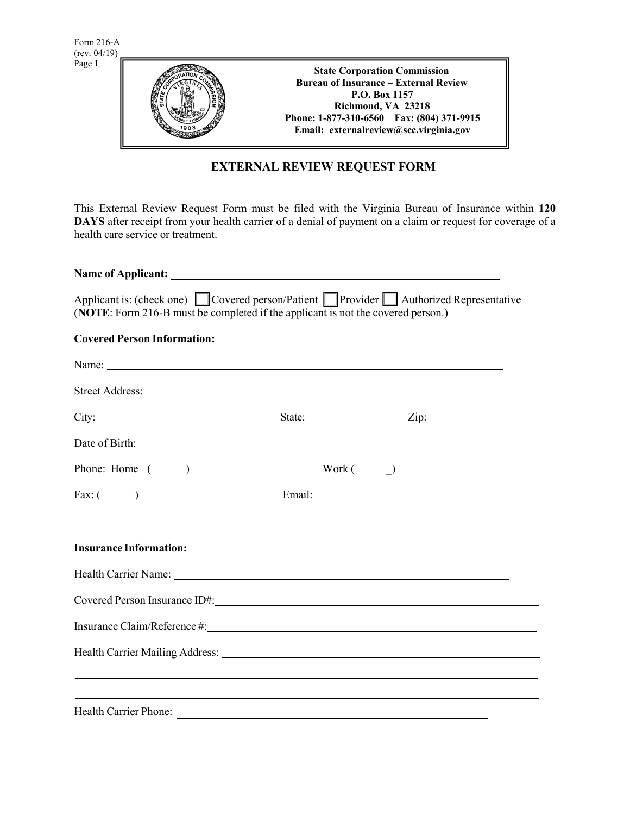

# **EXTERNAL REVIEW REQUEST FORM**

This External Review Request Form must be filed with the Virginia Bureau of Insurance within **120 DAYS** after receipt from your health carrier of a denial of payment on a claim or request for coverage of a health care service or treatment.

| Applicant is: (check one) $\Box$ Covered person/Patient $\Box$ Provider $\Box$ Authorized Representative<br>(NOTE: Form 216-B must be completed if the applicant is not the covered person.)                                         |  |  |
|--------------------------------------------------------------------------------------------------------------------------------------------------------------------------------------------------------------------------------------|--|--|
| <b>Covered Person Information:</b>                                                                                                                                                                                                   |  |  |
| Name: <u>the contract of the contract of the contract of the contract of the contract of the contract of the contract of the contract of the contract of the contract of the contract of the contract of the contract of the con</u> |  |  |
|                                                                                                                                                                                                                                      |  |  |
| City: <u>City:</u> State: <u>City:</u> City: <u>City:</u> City: 2.                                                                                                                                                                   |  |  |
|                                                                                                                                                                                                                                      |  |  |
| Phone: Home $(\_\_\_\_)$                                                                                                                                                                                                             |  |  |
|                                                                                                                                                                                                                                      |  |  |
|                                                                                                                                                                                                                                      |  |  |
| <b>Insurance Information:</b>                                                                                                                                                                                                        |  |  |
|                                                                                                                                                                                                                                      |  |  |
|                                                                                                                                                                                                                                      |  |  |
|                                                                                                                                                                                                                                      |  |  |
|                                                                                                                                                                                                                                      |  |  |
| <u> 1999 - Jan Samuel Barbara, margaret eta idazlearen 1992an eta idazlearen 1992ko hamarkada eta idazlea eta ida</u>                                                                                                                |  |  |
| ,我们也不会有什么。""我们的人,我们也不会有什么?""我们的人,我们也不会有什么?""我们的人,我们也不会有什么?""我们的人,我们也不会有什么?""我们的人                                                                                                                                                     |  |  |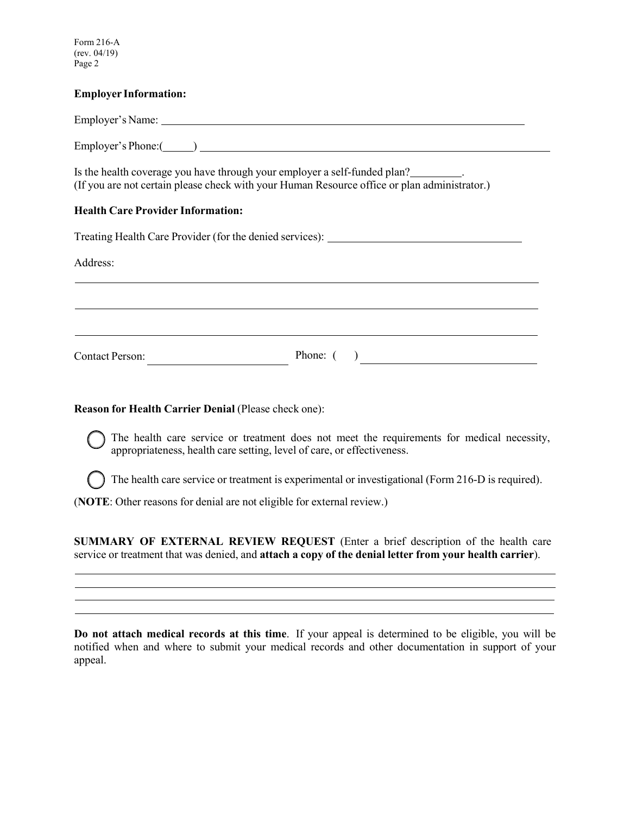Form 216-A (rev. 04/19) Page 2

#### **Employer Information:**

Employer's Name:

Employer's Phone: ()

Is the health coverage you have through your employer a self-funded plan? . (If you are not certain please check with your Human Resource office or plan administrator.)

## **Health Care Provider Information:**

Treating Health Care Provider (for the denied services): Address: Contact Person: Phone: ( )

## **Reason for Health Carrier Denial** (Please check one):

The health care service or treatment does not meet the requirements for medical necessity, appropriateness, health care setting, level of care, or effectiveness.

The health care service or treatment is experimental or investigational (Form 216-D is required).

(**NOTE**: Other reasons for denial are not eligible for external review.)

**SUMMARY OF EXTERNAL REVIEW REQUEST** (Enter a brief description of the health care service or treatment that was denied, and **attach a copy of the denial letter from your health carrier**).

**Do not attach medical records at this time**. If your appeal is determined to be eligible, you will be notified when and where to submit your medical records and other documentation in support of your appeal.